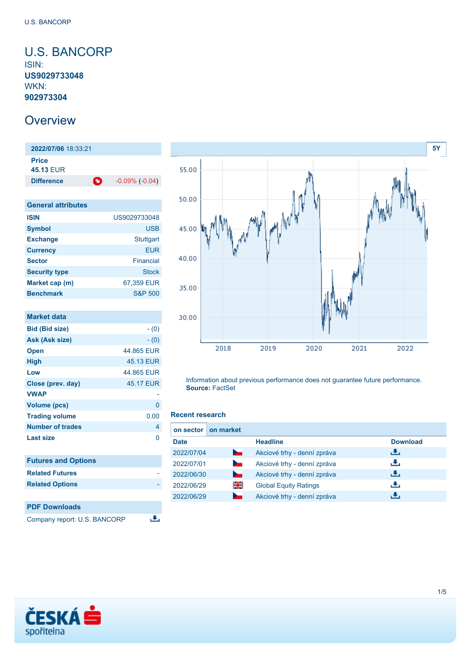### <span id="page-0-0"></span>U.S. BANCORP ISIN: **US9029733048** WKN: **902973304**

## **Overview**

**2022/07/06** 18:33:21 **Price 45.13** EUR **Difference**  $-0.09\% (-0.04)$ 

| <b>General attributes</b> |                    |
|---------------------------|--------------------|
| <b>ISIN</b>               | US9029733048       |
| <b>Symbol</b>             | USB                |
| <b>Exchange</b>           | <b>Stuttgart</b>   |
| <b>Currency</b>           | FUR                |
| <b>Sector</b>             | Financial          |
| <b>Security type</b>      | Stock              |
| Market cap (m)            | 67,359 EUR         |
| <b>Benchmark</b>          | <b>S&amp;P 500</b> |

| <b>Market data</b>         |            |
|----------------------------|------------|
| <b>Bid (Bid size)</b>      | $- (0)$    |
| Ask (Ask size)             | $- (0)$    |
| <b>Open</b>                | 44.865 EUR |
| <b>High</b>                | 45.13 EUR  |
| Low                        | 44.865 EUR |
| Close (prev. day)          | 45.17 EUR  |
| <b>VWAP</b>                |            |
| <b>Volume (pcs)</b>        | 0          |
| <b>Trading volume</b>      | 0.00       |
| <b>Number of trades</b>    | 4          |
| <b>Last size</b>           | 0          |
| <b>Futures and Options</b> |            |
| <b>Related Futures</b>     |            |
| <b>Related Options</b>     |            |
|                            |            |



Company report: U.S. BANCORP



Information about previous performance does not guarantee future performance. **Source:** FactSet

#### **Recent research**

舌

| on sector   | on market                |                              |                 |
|-------------|--------------------------|------------------------------|-----------------|
| <b>Date</b> |                          | <b>Headline</b>              | <b>Download</b> |
| 2022/07/04  | <b>Service</b>           | Akciové trhy - denní zpráva  | æ,              |
| 2022/07/01  | <b>Contract Contract</b> | Akciové trhy - denní zpráva  | æ,              |
| 2022/06/30  | <b>Service</b>           | Akciové trhy - denní zpráva  | æ,              |
| 2022/06/29  | 꾉뚢                       | <b>Global Equity Ratings</b> | υ.              |
| 2022/06/29  |                          | Akciové trhy - denní zpráva  |                 |

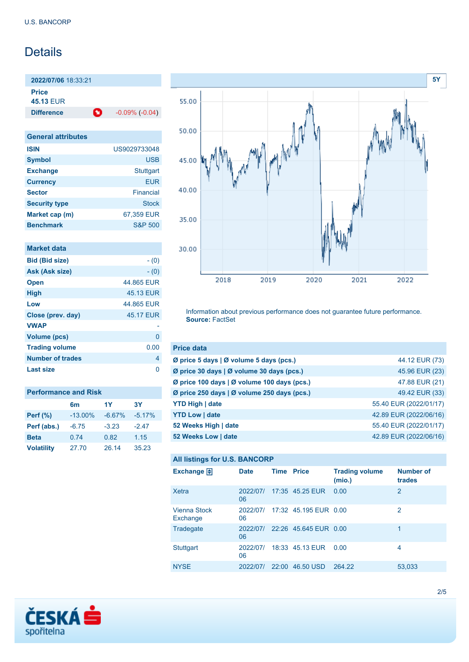# Details

**2022/07/06** 18:33:21 **Price 45.13** EUR

**Difference 1** -0.09% (-0.04)

| <b>General attributes</b> |                    |
|---------------------------|--------------------|
| <b>ISIN</b>               | US9029733048       |
| <b>Symbol</b>             | <b>USB</b>         |
| <b>Exchange</b>           | <b>Stuttgart</b>   |
| <b>Currency</b>           | <b>EUR</b>         |
| <b>Sector</b>             | Financial          |
| <b>Security type</b>      | <b>Stock</b>       |
| Market cap (m)            | 67,359 EUR         |
| <b>Benchmark</b>          | <b>S&amp;P 500</b> |

| Market data             |            |
|-------------------------|------------|
| <b>Bid (Bid size)</b>   | $- (0)$    |
| Ask (Ask size)          | $- (0)$    |
| <b>Open</b>             | 44.865 EUR |
| <b>High</b>             | 45.13 EUR  |
| Low                     | 44.865 EUR |
| Close (prev. day)       | 45.17 EUR  |
| <b>VWAP</b>             |            |
| <b>Volume (pcs)</b>     | 0          |
| <b>Trading volume</b>   | 0.00       |
| <b>Number of trades</b> | 4          |
| Last size               | n          |

| <b>Performance and Risk</b> |                |          |          |  |
|-----------------------------|----------------|----------|----------|--|
|                             | 6 <sub>m</sub> | 1Y       | 3Y       |  |
| <b>Perf</b> (%)             | $-13.00\%$     | $-6.67%$ | $-5.17%$ |  |
| Perf (abs.)                 | $-6.75$        | $-3.23$  | $-2.47$  |  |
| <b>Beta</b>                 | 0.74           | 0.82     | 1.15     |  |
| <b>Volatility</b>           | 27.70          | 26.14    | 35.23    |  |



Information about previous performance does not guarantee future performance. **Source:** FactSet

| <b>Price data</b>                           |                        |
|---------------------------------------------|------------------------|
| Ø price 5 days   Ø volume 5 days (pcs.)     | 44.12 EUR (73)         |
| Ø price 30 days   Ø volume 30 days (pcs.)   | 45.96 EUR (23)         |
| Ø price 100 days   Ø volume 100 days (pcs.) | 47.88 EUR (21)         |
| Ø price 250 days   Ø volume 250 days (pcs.) | 49.42 EUR (33)         |
| <b>YTD High   date</b>                      | 55.40 EUR (2022/01/17) |
| <b>YTD Low   date</b>                       | 42.89 EUR (2022/06/16) |
| 52 Weeks High   date                        | 55.40 EUR (2022/01/17) |
| 52 Weeks Low   date                         | 42.89 EUR (2022/06/16) |

### **All listings for U.S. BANCORP**

| Exchange $\Box$                 | <b>Date</b>    | <b>Time Price</b> |                       | <b>Trading volume</b><br>(mio.) | <b>Number of</b><br>trades |
|---------------------------------|----------------|-------------------|-----------------------|---------------------------------|----------------------------|
| Xetra                           | 2022/07/<br>06 |                   | 17:35 45.25 EUR       | 0.00                            | 2                          |
| <b>Vienna Stock</b><br>Exchange | 2022/07/<br>06 |                   | 17:32 45.195 EUR 0.00 |                                 | 2                          |
| Tradegate                       | 2022/07/<br>06 |                   | 22:26 45.645 EUR 0.00 |                                 | 1                          |
| <b>Stuttgart</b>                | 2022/07/<br>06 |                   | 18:33 45.13 EUR       | 0.00                            | 4                          |
| <b>NYSE</b>                     | 2022/07/       | 22:00             | 46.50 USD             | 264.22                          | 53,033                     |

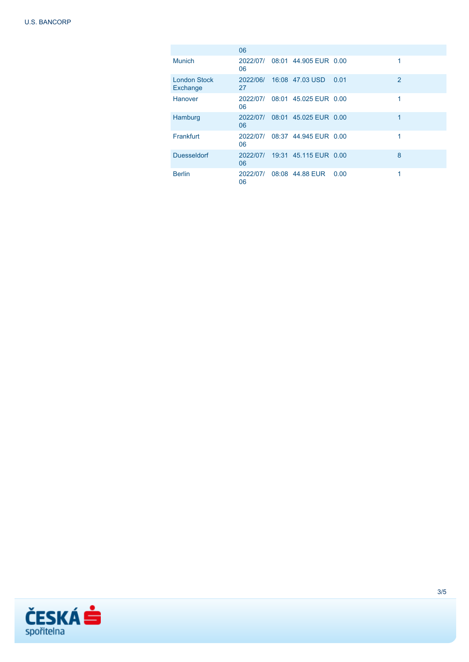|                                 | 06             |                       |      |                |
|---------------------------------|----------------|-----------------------|------|----------------|
| <b>Munich</b>                   | 2022/07/<br>06 | 08:01 44.905 EUR 0.00 |      | 1              |
| <b>London Stock</b><br>Exchange | 2022/06/<br>27 | 16:08 47.03 USD       | 0.01 | $\overline{2}$ |
| Hanover                         | 2022/07/<br>06 | 08:01 45.025 EUR 0.00 |      | 1              |
| Hamburg                         | 2022/07/<br>06 | 08:01 45.025 EUR 0.00 |      | 1              |
| Frankfurt                       | 2022/07/<br>06 | 08:37 44 945 FUR 0.00 |      | 1              |
| <b>Duesseldorf</b>              | 2022/07/<br>06 | 19:31 45.115 EUR 0.00 |      | 8              |
| <b>Berlin</b>                   | 2022/07/<br>06 | 08:08 44.88 EUR       | 0.00 | 1              |

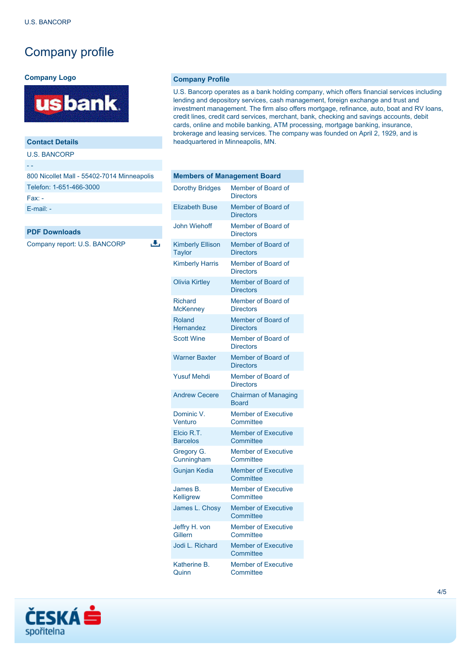# Company profile

### **Company Logo**



### **Contact Details**

U.S. BANCORP

#### - -

| 800 Nicollet Mall - 55402-7014 Minneapolis |
|--------------------------------------------|
| Telefon: 1-651-466-3000                    |
| $Fax -$                                    |
| $E$ -mail: $-$                             |

 $\overline{\mathbf{u}}$ 

#### **PDF Downloads**

Company report: U.S. BANCORP

**Company Profile**

U.S. Bancorp operates as a bank holding company, which offers financial services including lending and depository services, cash management, foreign exchange and trust and investment management. The firm also offers mortgage, refinance, auto, boat and RV loans, credit lines, credit card services, merchant, bank, checking and savings accounts, debit cards, online and mobile banking, ATM processing, mortgage banking, insurance, brokerage and leasing services. The company was founded on April 2, 1929, and is headquartered in Minneapolis, MN.

| <b>Members of Management Board</b>       |                                             |  |
|------------------------------------------|---------------------------------------------|--|
| <b>Dorothy Bridges</b>                   | Member of Board of<br><b>Directors</b>      |  |
| <b>Elizabeth Buse</b>                    | Member of Board of<br><b>Directors</b>      |  |
| <b>John Wiehoff</b>                      | Member of Board of<br><b>Directors</b>      |  |
| <b>Kimberly Ellison</b><br><b>Taylor</b> | Member of Board of<br><b>Directors</b>      |  |
| <b>Kimberly Harris</b>                   | Member of Board of<br><b>Directors</b>      |  |
| <b>Olivia Kirtley</b>                    | Member of Board of<br><b>Directors</b>      |  |
| <b>Richard</b><br><b>McKenney</b>        | Member of Board of<br><b>Directors</b>      |  |
| Roland<br><b>Hernandez</b>               | Member of Board of<br><b>Directors</b>      |  |
| <b>Scott Wine</b>                        | Member of Board of<br><b>Directors</b>      |  |
| <b>Warner Baxter</b>                     | Member of Board of<br><b>Directors</b>      |  |
| <b>Yusuf Mehdi</b>                       | Member of Board of<br><b>Directors</b>      |  |
| <b>Andrew Cecere</b>                     | <b>Chairman of Managing</b><br><b>Board</b> |  |
| Dominic V.<br>Venturo                    | <b>Member of Executive</b><br>Committee     |  |
| Elcio R.T.<br><b>Barcelos</b>            | <b>Member of Executive</b><br>Committee     |  |
| Gregory G.<br>Cunningham                 | <b>Member of Executive</b><br>Committee     |  |
| <b>Gunjan Kedia</b>                      | <b>Member of Executive</b><br>Committee     |  |
| James B.<br>Kelligrew                    | <b>Member of Executive</b><br>Committee     |  |
| James L. Chosy                           | <b>Member of Executive</b><br>Committee     |  |
| Jeffry H. von<br><b>Gillern</b>          | <b>Member of Executive</b><br>Committee     |  |
| Jodi L. Richard                          | <b>Member of Executive</b><br>Committee     |  |
| Katherine B.<br>Quinn                    | <b>Member of Executive</b><br>Committee     |  |